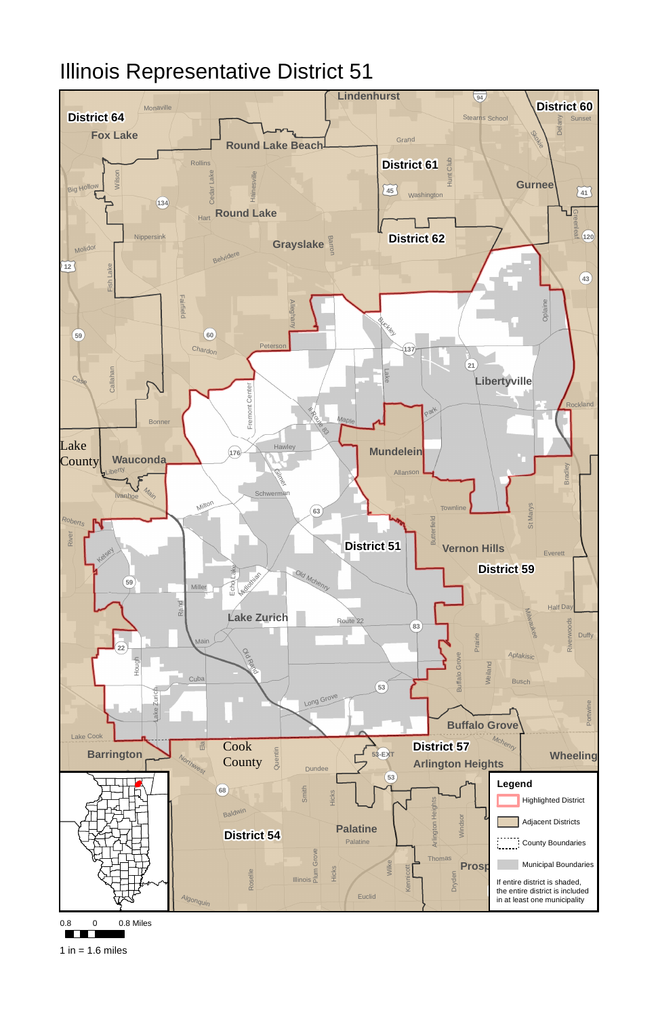

0.8 0 0.8 Miles

**TELESCOPE** 

1 in =  $1.6$  miles

## Illinois Representative District 51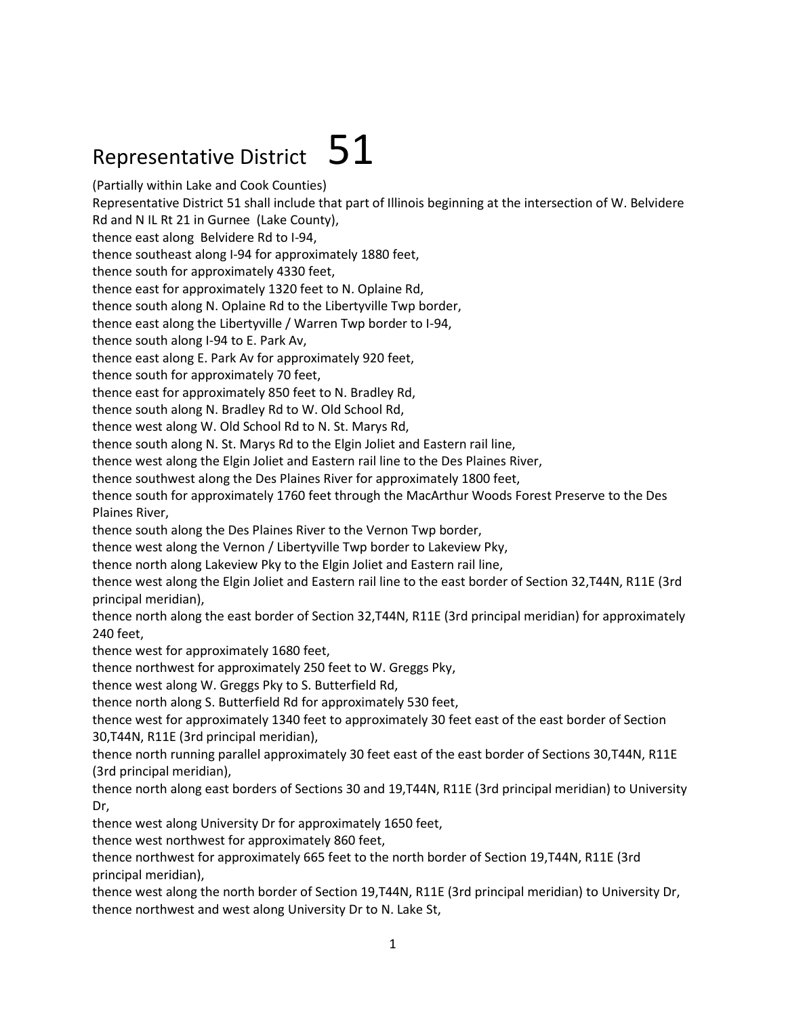## Representative District  $51$

(Partially within Lake and Cook Counties)

Representative District 51 shall include that part of Illinois beginning at the intersection of W. Belvidere

Rd and N IL Rt 21 in Gurnee (Lake County),

thence east along Belvidere Rd to I-94,

thence southeast along I-94 for approximately 1880 feet,

thence south for approximately 4330 feet,

thence east for approximately 1320 feet to N. Oplaine Rd,

thence south along N. Oplaine Rd to the Libertyville Twp border,

thence east along the Libertyville / Warren Twp border to I-94,

thence south along I-94 to E. Park Av,

thence east along E. Park Av for approximately 920 feet,

thence south for approximately 70 feet,

thence east for approximately 850 feet to N. Bradley Rd,

thence south along N. Bradley Rd to W. Old School Rd,

thence west along W. Old School Rd to N. St. Marys Rd,

thence south along N. St. Marys Rd to the Elgin Joliet and Eastern rail line,

thence west along the Elgin Joliet and Eastern rail line to the Des Plaines River,

thence southwest along the Des Plaines River for approximately 1800 feet,

thence south for approximately 1760 feet through the MacArthur Woods Forest Preserve to the Des Plaines River,

thence south along the Des Plaines River to the Vernon Twp border,

thence west along the Vernon / Libertyville Twp border to Lakeview Pky,

thence north along Lakeview Pky to the Elgin Joliet and Eastern rail line,

thence west along the Elgin Joliet and Eastern rail line to the east border of Section 32,T44N, R11E (3rd principal meridian),

thence north along the east border of Section 32,T44N, R11E (3rd principal meridian) for approximately 240 feet,

thence west for approximately 1680 feet,

thence northwest for approximately 250 feet to W. Greggs Pky,

thence west along W. Greggs Pky to S. Butterfield Rd,

thence north along S. Butterfield Rd for approximately 530 feet,

thence west for approximately 1340 feet to approximately 30 feet east of the east border of Section 30,T44N, R11E (3rd principal meridian),

thence north running parallel approximately 30 feet east of the east border of Sections 30,T44N, R11E (3rd principal meridian),

thence north along east borders of Sections 30 and 19,T44N, R11E (3rd principal meridian) to University Dr,

thence west along University Dr for approximately 1650 feet,

thence west northwest for approximately 860 feet,

thence northwest for approximately 665 feet to the north border of Section 19,T44N, R11E (3rd principal meridian),

thence west along the north border of Section 19,T44N, R11E (3rd principal meridian) to University Dr, thence northwest and west along University Dr to N. Lake St,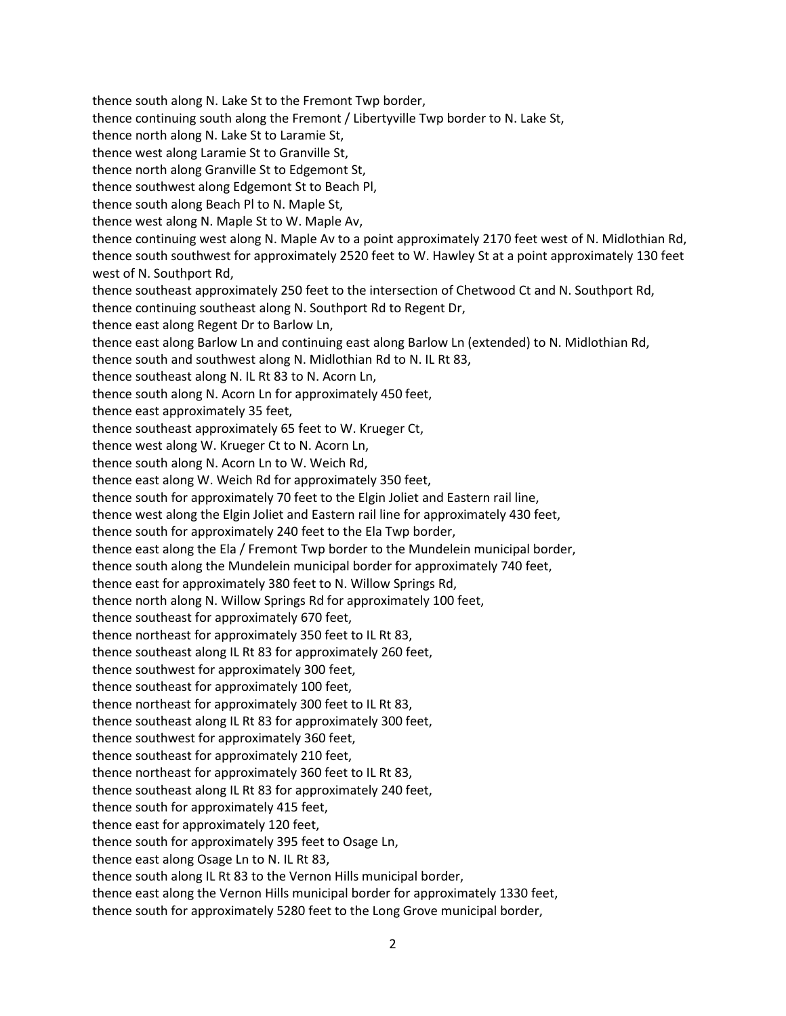thence south along N. Lake St to the Fremont Twp border, thence continuing south along the Fremont / Libertyville Twp border to N. Lake St, thence north along N. Lake St to Laramie St, thence west along Laramie St to Granville St, thence north along Granville St to Edgemont St, thence southwest along Edgemont St to Beach Pl, thence south along Beach Pl to N. Maple St, thence west along N. Maple St to W. Maple Av, thence continuing west along N. Maple Av to a point approximately 2170 feet west of N. Midlothian Rd, thence south southwest for approximately 2520 feet to W. Hawley St at a point approximately 130 feet west of N. Southport Rd, thence southeast approximately 250 feet to the intersection of Chetwood Ct and N. Southport Rd, thence continuing southeast along N. Southport Rd to Regent Dr, thence east along Regent Dr to Barlow Ln, thence east along Barlow Ln and continuing east along Barlow Ln (extended) to N. Midlothian Rd, thence south and southwest along N. Midlothian Rd to N. IL Rt 83, thence southeast along N. IL Rt 83 to N. Acorn Ln, thence south along N. Acorn Ln for approximately 450 feet, thence east approximately 35 feet, thence southeast approximately 65 feet to W. Krueger Ct, thence west along W. Krueger Ct to N. Acorn Ln, thence south along N. Acorn Ln to W. Weich Rd, thence east along W. Weich Rd for approximately 350 feet, thence south for approximately 70 feet to the Elgin Joliet and Eastern rail line, thence west along the Elgin Joliet and Eastern rail line for approximately 430 feet, thence south for approximately 240 feet to the Ela Twp border, thence east along the Ela / Fremont Twp border to the Mundelein municipal border, thence south along the Mundelein municipal border for approximately 740 feet, thence east for approximately 380 feet to N. Willow Springs Rd, thence north along N. Willow Springs Rd for approximately 100 feet, thence southeast for approximately 670 feet, thence northeast for approximately 350 feet to IL Rt 83, thence southeast along IL Rt 83 for approximately 260 feet, thence southwest for approximately 300 feet, thence southeast for approximately 100 feet, thence northeast for approximately 300 feet to IL Rt 83, thence southeast along IL Rt 83 for approximately 300 feet, thence southwest for approximately 360 feet, thence southeast for approximately 210 feet, thence northeast for approximately 360 feet to IL Rt 83, thence southeast along IL Rt 83 for approximately 240 feet, thence south for approximately 415 feet, thence east for approximately 120 feet, thence south for approximately 395 feet to Osage Ln, thence east along Osage Ln to N. IL Rt 83, thence south along IL Rt 83 to the Vernon Hills municipal border, thence east along the Vernon Hills municipal border for approximately 1330 feet, thence south for approximately 5280 feet to the Long Grove municipal border,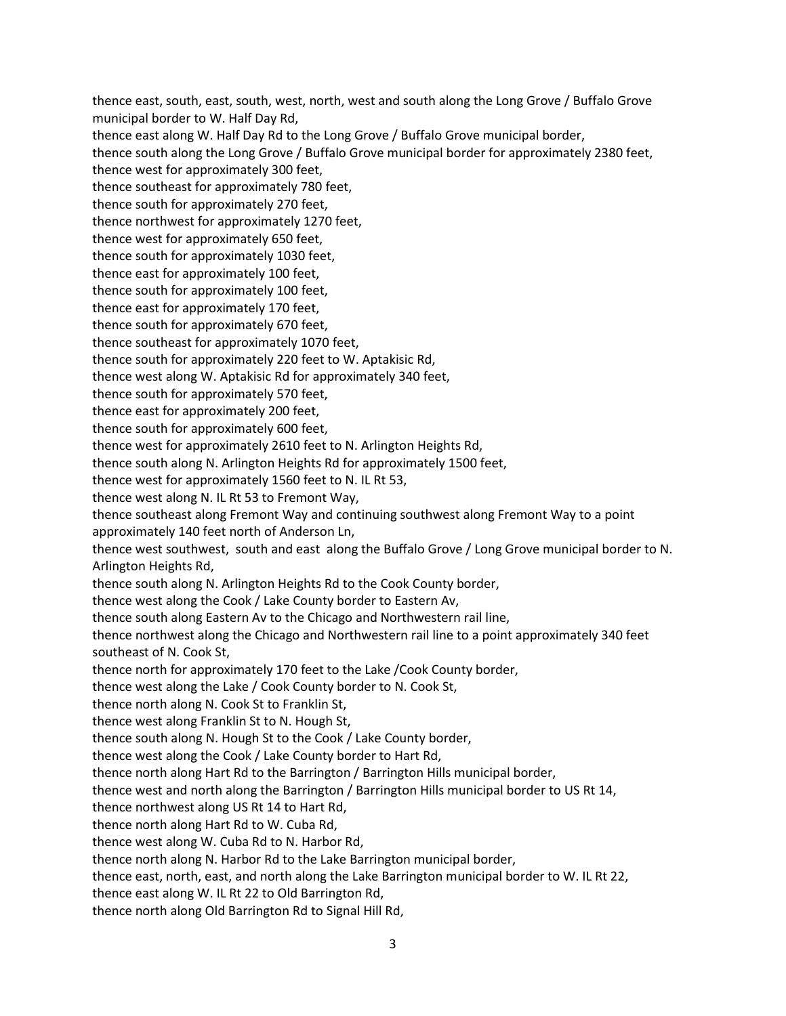thence east, south, east, south, west, north, west and south along the Long Grove / Buffalo Grove municipal border to W. Half Day Rd, thence east along W. Half Day Rd to the Long Grove / Buffalo Grove municipal border, thence south along the Long Grove / Buffalo Grove municipal border for approximately 2380 feet, thence west for approximately 300 feet, thence southeast for approximately 780 feet, thence south for approximately 270 feet, thence northwest for approximately 1270 feet, thence west for approximately 650 feet, thence south for approximately 1030 feet, thence east for approximately 100 feet, thence south for approximately 100 feet, thence east for approximately 170 feet, thence south for approximately 670 feet, thence southeast for approximately 1070 feet, thence south for approximately 220 feet to W. Aptakisic Rd, thence west along W. Aptakisic Rd for approximately 340 feet, thence south for approximately 570 feet, thence east for approximately 200 feet, thence south for approximately 600 feet, thence west for approximately 2610 feet to N. Arlington Heights Rd, thence south along N. Arlington Heights Rd for approximately 1500 feet, thence west for approximately 1560 feet to N. IL Rt 53, thence west along N. IL Rt 53 to Fremont Way, thence southeast along Fremont Way and continuing southwest along Fremont Way to a point approximately 140 feet north of Anderson Ln, thence west southwest, south and east along the Buffalo Grove / Long Grove municipal border to N. Arlington Heights Rd, thence south along N. Arlington Heights Rd to the Cook County border, thence west along the Cook / Lake County border to Eastern Av, thence south along Eastern Av to the Chicago and Northwestern rail line, thence northwest along the Chicago and Northwestern rail line to a point approximately 340 feet southeast of N. Cook St, thence north for approximately 170 feet to the Lake /Cook County border, thence west along the Lake / Cook County border to N. Cook St, thence north along N. Cook St to Franklin St, thence west along Franklin St to N. Hough St, thence south along N. Hough St to the Cook / Lake County border, thence west along the Cook / Lake County border to Hart Rd, thence north along Hart Rd to the Barrington / Barrington Hills municipal border, thence west and north along the Barrington / Barrington Hills municipal border to US Rt 14, thence northwest along US Rt 14 to Hart Rd, thence north along Hart Rd to W. Cuba Rd, thence west along W. Cuba Rd to N. Harbor Rd, thence north along N. Harbor Rd to the Lake Barrington municipal border, thence east, north, east, and north along the Lake Barrington municipal border to W. IL Rt 22, thence east along W. IL Rt 22 to Old Barrington Rd, thence north along Old Barrington Rd to Signal Hill Rd,